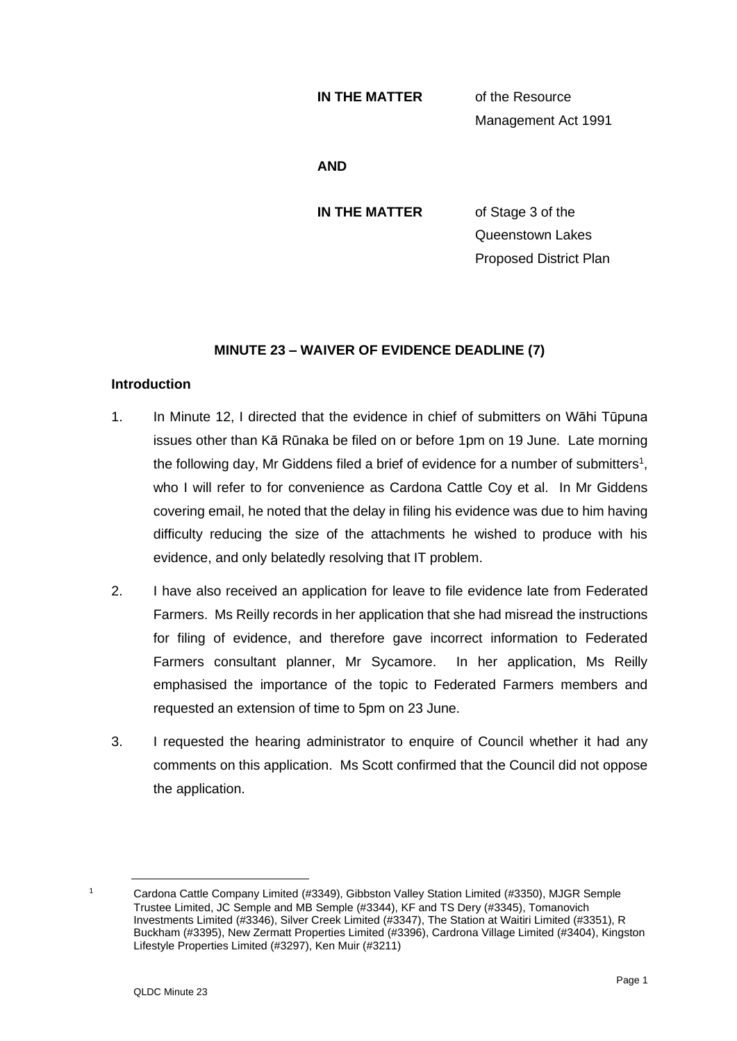#### **IN THE MATTER** of the Resource

Management Act 1991

**AND**

**IN THE MATTER** of Stage 3 of the Queenstown Lakes Proposed District Plan

## **MINUTE 23 – WAIVER OF EVIDENCE DEADLINE (7)**

### **Introduction**

- 1. In Minute 12, I directed that the evidence in chief of submitters on Wāhi Tūpuna issues other than Kā Rūnaka be filed on or before 1pm on 19 June. Late morning the following day, Mr Giddens filed a brief of evidence for a number of submitters<sup>1</sup>, who I will refer to for convenience as Cardona Cattle Coy et al. In Mr Giddens covering email, he noted that the delay in filing his evidence was due to him having difficulty reducing the size of the attachments he wished to produce with his evidence, and only belatedly resolving that IT problem.
- 2. I have also received an application for leave to file evidence late from Federated Farmers. Ms Reilly records in her application that she had misread the instructions for filing of evidence, and therefore gave incorrect information to Federated Farmers consultant planner, Mr Sycamore. In her application, Ms Reilly emphasised the importance of the topic to Federated Farmers members and requested an extension of time to 5pm on 23 June.
- 3. I requested the hearing administrator to enquire of Council whether it had any comments on this application. Ms Scott confirmed that the Council did not oppose the application.

<sup>&</sup>lt;sup>1</sup> Cardona Cattle Company Limited (#3349), Gibbston Valley Station Limited (#3350), MJGR Semple Trustee Limited, JC Semple and MB Semple (#3344), KF and TS Dery (#3345), Tomanovich Investments Limited (#3346), Silver Creek Limited (#3347), The Station at Waitiri Limited (#3351), R Buckham (#3395), New Zermatt Properties Limited (#3396), Cardrona Village Limited (#3404), Kingston Lifestyle Properties Limited (#3297), Ken Muir (#3211)